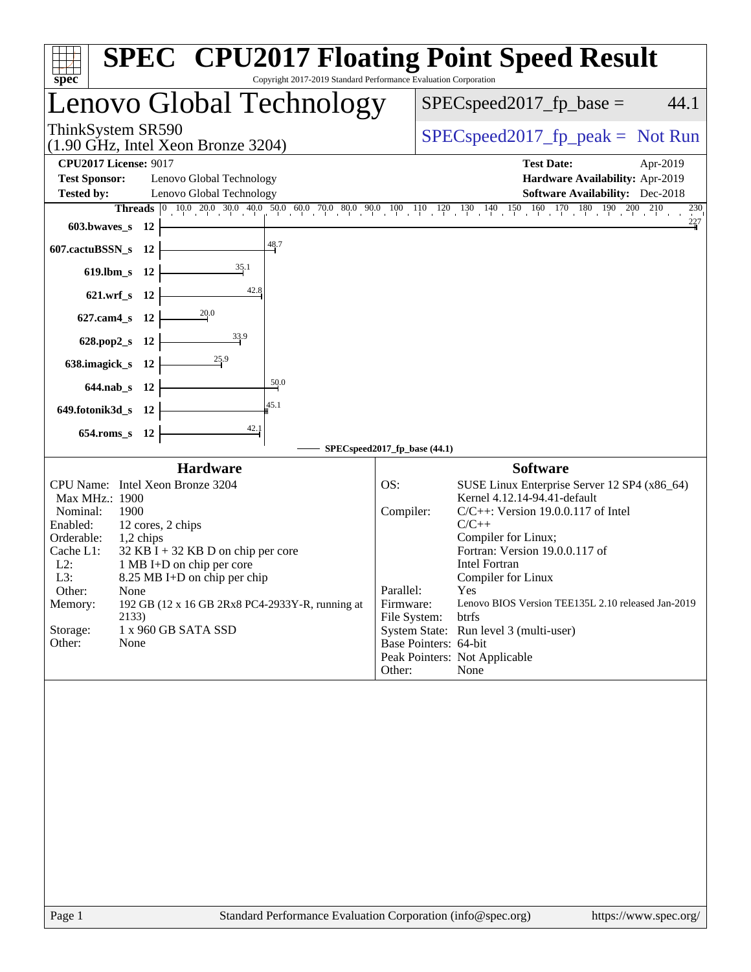| <b>SPEC<sup>®</sup> CPU2017 Floating Point Speed Result</b><br>spec<br>Copyright 2017-2019 Standard Performance Evaluation Corporation |           |                                                           |                  |                              |  |                                                                                                                                                                                                 |
|----------------------------------------------------------------------------------------------------------------------------------------|-----------|-----------------------------------------------------------|------------------|------------------------------|--|-------------------------------------------------------------------------------------------------------------------------------------------------------------------------------------------------|
| Lenovo Global Technology                                                                                                               |           |                                                           |                  |                              |  | $SPEC speed2017_fp\_base =$<br>44.1                                                                                                                                                             |
| ThinkSystem SR590<br>$(1.90 \text{ GHz}, \text{Intel Xeon Bronze } 3204)$                                                              |           |                                                           |                  |                              |  | $SPEC speed2017rfp peak = Not Run$                                                                                                                                                              |
| <b>CPU2017 License: 9017</b>                                                                                                           |           |                                                           |                  |                              |  | <b>Test Date:</b><br>Apr-2019                                                                                                                                                                   |
| <b>Test Sponsor:</b><br><b>Tested by:</b>                                                                                              |           | Lenovo Global Technology<br>Lenovo Global Technology      |                  |                              |  | Hardware Availability: Apr-2019<br><b>Software Availability:</b> Dec-2018                                                                                                                       |
|                                                                                                                                        |           |                                                           |                  |                              |  | <b>Threads</b> $\begin{bmatrix} 0 & 10 & 0 & 20 & 0 & 30 & 40 & 50 & 60 & 0 & 70 & 0 & 80 & 90 & 10 & 10 & 120 & 130 & 140 & 150 & 160 & 170 & 180 & 190 & 200 & 210 \end{bmatrix}$<br>$^{230}$ |
| $603.bwaves$ $12$                                                                                                                      |           |                                                           |                  |                              |  | 227                                                                                                                                                                                             |
| 607.cactuBSSN_s 12                                                                                                                     |           |                                                           | $\frac{48.7}{4}$ |                              |  |                                                                                                                                                                                                 |
| 619.lbm_s 12                                                                                                                           |           |                                                           |                  |                              |  |                                                                                                                                                                                                 |
| 621.wrf_s 12                                                                                                                           |           | 42.8                                                      |                  |                              |  |                                                                                                                                                                                                 |
| 627.cam4_s 12                                                                                                                          |           |                                                           |                  |                              |  |                                                                                                                                                                                                 |
| 628.pop2_s 12                                                                                                                          |           | $\frac{33.9}{2}$                                          |                  |                              |  |                                                                                                                                                                                                 |
| 638.imagick_s 12                                                                                                                       |           | $\frac{25.9}{2}$                                          |                  |                              |  |                                                                                                                                                                                                 |
| 50.0<br>644.nab_s 12                                                                                                                   |           |                                                           |                  |                              |  |                                                                                                                                                                                                 |
| 45.1<br>649.fotonik3d_s 12                                                                                                             |           |                                                           |                  |                              |  |                                                                                                                                                                                                 |
| 654.roms_s 12                                                                                                                          |           |                                                           |                  |                              |  |                                                                                                                                                                                                 |
|                                                                                                                                        |           |                                                           |                  | SPECspeed2017_fp_base (44.1) |  |                                                                                                                                                                                                 |
|                                                                                                                                        |           | Hardware                                                  |                  |                              |  | <b>Software</b>                                                                                                                                                                                 |
| Max MHz.: 1900                                                                                                                         |           | CPU Name: Intel Xeon Bronze 3204                          |                  | OS:                          |  | SUSE Linux Enterprise Server 12 SP4 (x86_64)<br>Kernel 4.12.14-94.41-default                                                                                                                    |
| Nominal:                                                                                                                               | 1900      |                                                           |                  | Compiler:                    |  | $C/C++$ : Version 19.0.0.117 of Intel                                                                                                                                                           |
| Enabled:                                                                                                                               |           | 12 cores, 2 chips                                         |                  |                              |  | $C/C++$                                                                                                                                                                                         |
| Orderable:                                                                                                                             | 1,2 chips |                                                           |                  |                              |  | Compiler for Linux;                                                                                                                                                                             |
| Cache L1:                                                                                                                              |           | $32$ KB I + 32 KB D on chip per core                      |                  |                              |  | Fortran: Version 19.0.0.117 of                                                                                                                                                                  |
| $L2$ :<br>L3:                                                                                                                          |           | 1 MB I+D on chip per core<br>8.25 MB I+D on chip per chip |                  |                              |  | <b>Intel Fortran</b><br>Compiler for Linux                                                                                                                                                      |
| Other:                                                                                                                                 | None      |                                                           |                  | Parallel:                    |  | Yes                                                                                                                                                                                             |
| Memory:                                                                                                                                |           | 192 GB (12 x 16 GB 2Rx8 PC4-2933Y-R, running at           |                  | Firmware:                    |  | Lenovo BIOS Version TEE135L 2.10 released Jan-2019                                                                                                                                              |
|                                                                                                                                        | 2133)     |                                                           |                  | File System:                 |  | btrfs                                                                                                                                                                                           |
| Storage:                                                                                                                               |           | 1 x 960 GB SATA SSD                                       |                  |                              |  | System State: Run level 3 (multi-user)                                                                                                                                                          |
| Other:                                                                                                                                 | None      |                                                           |                  | Base Pointers: 64-bit        |  |                                                                                                                                                                                                 |
|                                                                                                                                        |           |                                                           |                  | Other:                       |  | Peak Pointers: Not Applicable<br>None                                                                                                                                                           |
|                                                                                                                                        |           |                                                           |                  |                              |  |                                                                                                                                                                                                 |
|                                                                                                                                        |           |                                                           |                  |                              |  |                                                                                                                                                                                                 |
|                                                                                                                                        |           |                                                           |                  |                              |  |                                                                                                                                                                                                 |
|                                                                                                                                        |           |                                                           |                  |                              |  |                                                                                                                                                                                                 |
|                                                                                                                                        |           |                                                           |                  |                              |  |                                                                                                                                                                                                 |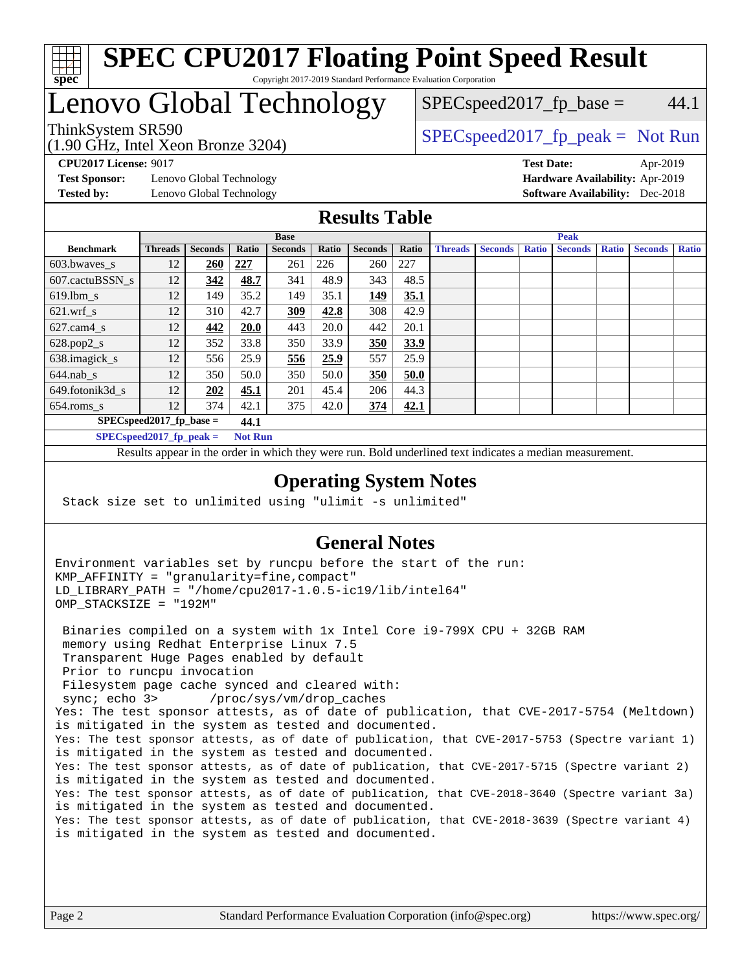

#### **[SPEC CPU2017 Floating Point Speed Result](http://www.spec.org/auto/cpu2017/Docs/result-fields.html#SPECCPU2017FloatingPointSpeedResult)** Copyright 2017-2019 Standard Performance Evaluation Corporation

## Lenovo Global Technology

(1.90 GHz, Intel Xeon Bronze 3204)

ThinkSystem SR590<br>  $(1.00 \text{ GHz. Intel Yes on Prans 3204})$   $SPEC speed2017<sub>rfp</sub> peak = Not Run$  $SPEC speed2017_fp\_base = 44.1$ 

**[Test Sponsor:](http://www.spec.org/auto/cpu2017/Docs/result-fields.html#TestSponsor)** Lenovo Global Technology **[Hardware Availability:](http://www.spec.org/auto/cpu2017/Docs/result-fields.html#HardwareAvailability)** Apr-2019

**[CPU2017 License:](http://www.spec.org/auto/cpu2017/Docs/result-fields.html#CPU2017License)** 9017 **[Test Date:](http://www.spec.org/auto/cpu2017/Docs/result-fields.html#TestDate)** Apr-2019 **[Tested by:](http://www.spec.org/auto/cpu2017/Docs/result-fields.html#Testedby)** Lenovo Global Technology **[Software Availability:](http://www.spec.org/auto/cpu2017/Docs/result-fields.html#SoftwareAvailability)** Dec-2018

### **[Results Table](http://www.spec.org/auto/cpu2017/Docs/result-fields.html#ResultsTable)**

|                                    | <b>Base</b>    |                |                |                |       |                | <b>Peak</b> |                |                |              |                |              |                |              |
|------------------------------------|----------------|----------------|----------------|----------------|-------|----------------|-------------|----------------|----------------|--------------|----------------|--------------|----------------|--------------|
| <b>Benchmark</b>                   | <b>Threads</b> | <b>Seconds</b> | Ratio          | <b>Seconds</b> | Ratio | <b>Seconds</b> | Ratio       | <b>Threads</b> | <b>Seconds</b> | <b>Ratio</b> | <b>Seconds</b> | <b>Ratio</b> | <b>Seconds</b> | <b>Ratio</b> |
| 603.bwayes s                       | 12             | 260            | 227            | 261            | 226   | 260            | 227         |                |                |              |                |              |                |              |
| 607.cactuBSSN s                    | 12             | 342            | 48.7           | 341            | 48.9  | 343            | 48.5        |                |                |              |                |              |                |              |
| $619.$ lbm s                       | 12             | 149            | 35.2           | 149            | 35.1  | 149            | 35.1        |                |                |              |                |              |                |              |
| $621.wrf$ s                        | 12             | 310            | 42.7           | 309            | 42.8  | 308            | 42.9        |                |                |              |                |              |                |              |
| $627$ .cam $4 \text{ s}$           | 12             | 442            | <b>20.0</b>    | 443            | 20.0  | 442            | 20.1        |                |                |              |                |              |                |              |
| $628.pop2_s$                       | 12             | 352            | 33.8           | 350            | 33.9  | 350            | 33.9        |                |                |              |                |              |                |              |
| 638.imagick_s                      | 12             | 556            | 25.9           | 556            | 25.9  | 557            | 25.9        |                |                |              |                |              |                |              |
| $644$ .nab s                       | 12             | 350            | 50.0           | 350            | 50.0  | 350            | 50.0        |                |                |              |                |              |                |              |
| 649.fotonik3d s                    | 12             | 202            | 45.1           | 201            | 45.4  | 206            | 44.3        |                |                |              |                |              |                |              |
| $654$ .roms s                      | 12             | 374            | 42.1           | 375            | 42.0  | 374            | 42.1        |                |                |              |                |              |                |              |
| $SPEC speed2017$ fp base =<br>44.1 |                |                |                |                |       |                |             |                |                |              |                |              |                |              |
| $SPECspeed2017_fp\_peak =$         |                |                | <b>Not Run</b> |                |       |                |             |                |                |              |                |              |                |              |

Results appear in the [order in which they were run.](http://www.spec.org/auto/cpu2017/Docs/result-fields.html#RunOrder) Bold underlined text [indicates a median measurement](http://www.spec.org/auto/cpu2017/Docs/result-fields.html#Median).

#### **[Operating System Notes](http://www.spec.org/auto/cpu2017/Docs/result-fields.html#OperatingSystemNotes)**

Stack size set to unlimited using "ulimit -s unlimited"

### **[General Notes](http://www.spec.org/auto/cpu2017/Docs/result-fields.html#GeneralNotes)**

Environment variables set by runcpu before the start of the run: KMP\_AFFINITY = "granularity=fine,compact" LD\_LIBRARY\_PATH = "/home/cpu2017-1.0.5-ic19/lib/intel64" OMP\_STACKSIZE = "192M"

 Binaries compiled on a system with 1x Intel Core i9-799X CPU + 32GB RAM memory using Redhat Enterprise Linux 7.5 Transparent Huge Pages enabled by default Prior to runcpu invocation Filesystem page cache synced and cleared with: sync; echo 3> /proc/sys/vm/drop\_caches Yes: The test sponsor attests, as of date of publication, that CVE-2017-5754 (Meltdown) is mitigated in the system as tested and documented. Yes: The test sponsor attests, as of date of publication, that CVE-2017-5753 (Spectre variant 1) is mitigated in the system as tested and documented. Yes: The test sponsor attests, as of date of publication, that CVE-2017-5715 (Spectre variant 2) is mitigated in the system as tested and documented. Yes: The test sponsor attests, as of date of publication, that CVE-2018-3640 (Spectre variant 3a) is mitigated in the system as tested and documented. Yes: The test sponsor attests, as of date of publication, that CVE-2018-3639 (Spectre variant 4) is mitigated in the system as tested and documented.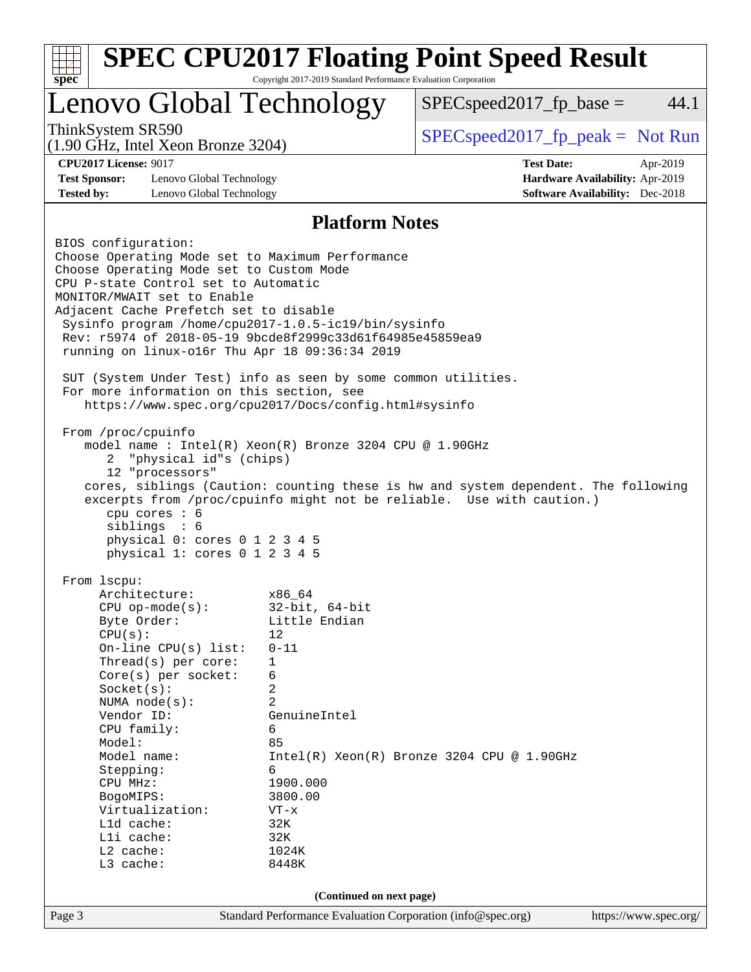|                                                                                     | <b>SPEC CPU2017 Floating Point Speed Result</b><br>Copyright 2017-2019 Standard Performance Evaluation Corporation<br>$spec^*$ |                                                                                                                                                             |          |  |  |  |  |
|-------------------------------------------------------------------------------------|--------------------------------------------------------------------------------------------------------------------------------|-------------------------------------------------------------------------------------------------------------------------------------------------------------|----------|--|--|--|--|
| Lenovo Global Technology                                                            |                                                                                                                                | $SPEC speed2017_fp\_base =$                                                                                                                                 | 44.1     |  |  |  |  |
| ThinkSystem SR590<br>$(1.90 \text{ GHz}, \text{Intel Xeon Bronze } 3204)$           |                                                                                                                                | $SPEC speed2017_fp\_peak = Not Run$                                                                                                                         |          |  |  |  |  |
| <b>CPU2017 License: 9017</b>                                                        |                                                                                                                                | <b>Test Date:</b>                                                                                                                                           | Apr-2019 |  |  |  |  |
| <b>Test Sponsor:</b><br>Lenovo Global Technology<br>Hardware Availability: Apr-2019 |                                                                                                                                |                                                                                                                                                             |          |  |  |  |  |
| <b>Tested by:</b><br>Lenovo Global Technology                                       |                                                                                                                                | <b>Software Availability:</b> Dec-2018                                                                                                                      |          |  |  |  |  |
|                                                                                     | <b>Platform Notes</b>                                                                                                          |                                                                                                                                                             |          |  |  |  |  |
| BIOS configuration:                                                                 |                                                                                                                                |                                                                                                                                                             |          |  |  |  |  |
| Choose Operating Mode set to Maximum Performance                                    |                                                                                                                                |                                                                                                                                                             |          |  |  |  |  |
| Choose Operating Mode set to Custom Mode                                            |                                                                                                                                |                                                                                                                                                             |          |  |  |  |  |
| CPU P-state Control set to Automatic                                                |                                                                                                                                |                                                                                                                                                             |          |  |  |  |  |
| MONITOR/MWAIT set to Enable                                                         |                                                                                                                                |                                                                                                                                                             |          |  |  |  |  |
| Adjacent Cache Prefetch set to disable                                              |                                                                                                                                |                                                                                                                                                             |          |  |  |  |  |
| Sysinfo program /home/cpu2017-1.0.5-ic19/bin/sysinfo                                |                                                                                                                                |                                                                                                                                                             |          |  |  |  |  |
| Rev: r5974 of 2018-05-19 9bcde8f2999c33d61f64985e45859ea9                           |                                                                                                                                |                                                                                                                                                             |          |  |  |  |  |
| running on linux-o16r Thu Apr 18 09:36:34 2019                                      |                                                                                                                                |                                                                                                                                                             |          |  |  |  |  |
|                                                                                     |                                                                                                                                |                                                                                                                                                             |          |  |  |  |  |
| SUT (System Under Test) info as seen by some common utilities.                      |                                                                                                                                |                                                                                                                                                             |          |  |  |  |  |
| For more information on this section, see                                           |                                                                                                                                |                                                                                                                                                             |          |  |  |  |  |
| https://www.spec.org/cpu2017/Docs/config.html#sysinfo                               |                                                                                                                                |                                                                                                                                                             |          |  |  |  |  |
|                                                                                     |                                                                                                                                |                                                                                                                                                             |          |  |  |  |  |
| From /proc/cpuinfo                                                                  |                                                                                                                                |                                                                                                                                                             |          |  |  |  |  |
| model name : Intel(R) Xeon(R) Bronze 3204 CPU @ 1.90GHz                             |                                                                                                                                |                                                                                                                                                             |          |  |  |  |  |
| "physical id"s (chips)<br>2                                                         |                                                                                                                                |                                                                                                                                                             |          |  |  |  |  |
| 12 "processors"                                                                     |                                                                                                                                |                                                                                                                                                             |          |  |  |  |  |
|                                                                                     |                                                                                                                                | cores, siblings (Caution: counting these is hw and system dependent. The following<br>excerpts from /proc/cpuinfo might not be reliable. Use with caution.) |          |  |  |  |  |
|                                                                                     |                                                                                                                                |                                                                                                                                                             |          |  |  |  |  |
|                                                                                     | cpu cores : 6                                                                                                                  |                                                                                                                                                             |          |  |  |  |  |
| siblings : 6<br>physical 0: cores 0 1 2 3 4 5                                       |                                                                                                                                |                                                                                                                                                             |          |  |  |  |  |
|                                                                                     |                                                                                                                                |                                                                                                                                                             |          |  |  |  |  |
|                                                                                     |                                                                                                                                |                                                                                                                                                             |          |  |  |  |  |
| physical 1: cores 0 1 2 3 4 5                                                       |                                                                                                                                |                                                                                                                                                             |          |  |  |  |  |
| From lscpu:                                                                         |                                                                                                                                |                                                                                                                                                             |          |  |  |  |  |
| Architecture:                                                                       | x86_64                                                                                                                         |                                                                                                                                                             |          |  |  |  |  |
| $CPU$ op-mode( $s$ ):                                                               | $32$ -bit, $64$ -bit                                                                                                           |                                                                                                                                                             |          |  |  |  |  |
| Byte Order:                                                                         | Little Endian                                                                                                                  |                                                                                                                                                             |          |  |  |  |  |
| CPU(s):                                                                             | 12                                                                                                                             |                                                                                                                                                             |          |  |  |  |  |
| On-line CPU(s) list:                                                                | $0 - 11$                                                                                                                       |                                                                                                                                                             |          |  |  |  |  |
| Thread(s) per core:                                                                 | 1                                                                                                                              |                                                                                                                                                             |          |  |  |  |  |
| $Core(s)$ per socket:                                                               | 6                                                                                                                              |                                                                                                                                                             |          |  |  |  |  |
| Socket(s):                                                                          | 2                                                                                                                              |                                                                                                                                                             |          |  |  |  |  |
| NUMA node(s):                                                                       | 2                                                                                                                              |                                                                                                                                                             |          |  |  |  |  |
| Vendor ID:                                                                          | GenuineIntel                                                                                                                   |                                                                                                                                                             |          |  |  |  |  |
| CPU family:                                                                         | 6                                                                                                                              |                                                                                                                                                             |          |  |  |  |  |
| Model:                                                                              | 85                                                                                                                             |                                                                                                                                                             |          |  |  |  |  |
| Model name:                                                                         |                                                                                                                                | $Intel(R) Xeon(R) Bronze 3204 CPU @ 1.90GHz$                                                                                                                |          |  |  |  |  |
| Stepping:                                                                           | 6                                                                                                                              |                                                                                                                                                             |          |  |  |  |  |
| CPU MHz:                                                                            | 1900.000                                                                                                                       |                                                                                                                                                             |          |  |  |  |  |
| BogoMIPS:                                                                           | 3800.00                                                                                                                        |                                                                                                                                                             |          |  |  |  |  |
| Virtualization:<br>L1d cache:                                                       | $VT - x$                                                                                                                       |                                                                                                                                                             |          |  |  |  |  |
| Lli cache:                                                                          | 32K<br>32K                                                                                                                     |                                                                                                                                                             |          |  |  |  |  |
| L2 cache:                                                                           | 1024K                                                                                                                          |                                                                                                                                                             |          |  |  |  |  |
| L3 cache:                                                                           | 8448K                                                                                                                          |                                                                                                                                                             |          |  |  |  |  |
|                                                                                     | (Continued on next page)                                                                                                       |                                                                                                                                                             |          |  |  |  |  |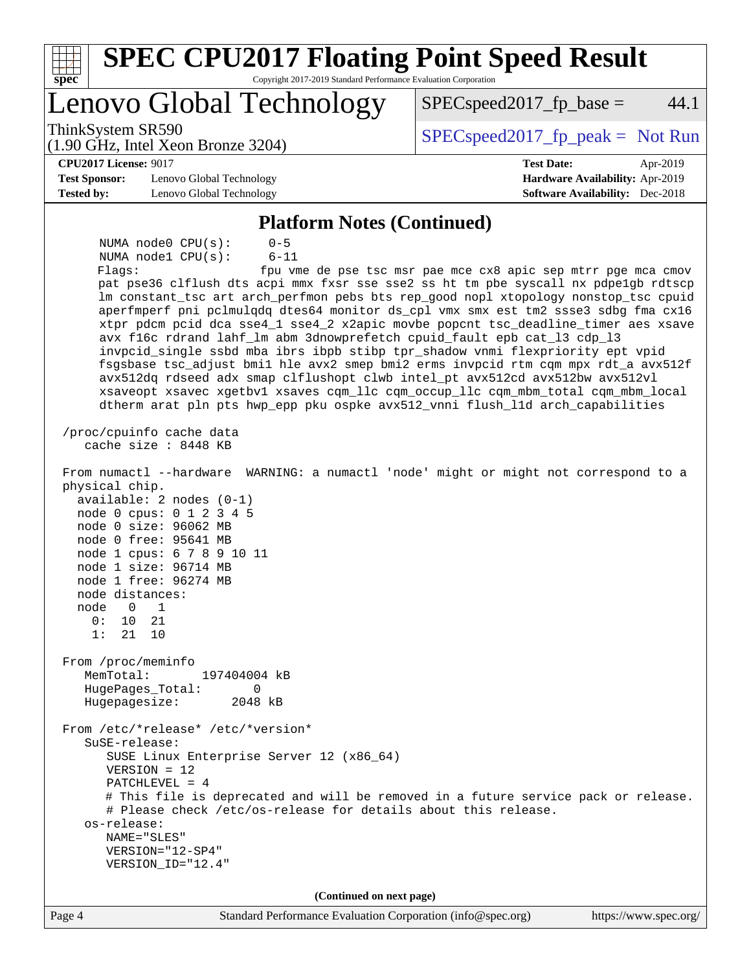| <b>SPEC CPU2017 Floating Point Speed Result</b><br>spec<br>Copyright 2017-2019 Standard Performance Evaluation Corporation                                                                                                                                                                                                                                                                                                                                                                                                                                                                                                                                                                                                                                                                                                                                                                                                                                                                                                                                                                                                                                                                                                                                                                                                                                                                                                                                                                                                                                                                                                                                                                                                                                                                                                                                               |                                                               |
|--------------------------------------------------------------------------------------------------------------------------------------------------------------------------------------------------------------------------------------------------------------------------------------------------------------------------------------------------------------------------------------------------------------------------------------------------------------------------------------------------------------------------------------------------------------------------------------------------------------------------------------------------------------------------------------------------------------------------------------------------------------------------------------------------------------------------------------------------------------------------------------------------------------------------------------------------------------------------------------------------------------------------------------------------------------------------------------------------------------------------------------------------------------------------------------------------------------------------------------------------------------------------------------------------------------------------------------------------------------------------------------------------------------------------------------------------------------------------------------------------------------------------------------------------------------------------------------------------------------------------------------------------------------------------------------------------------------------------------------------------------------------------------------------------------------------------------------------------------------------------|---------------------------------------------------------------|
| Lenovo Global Technology                                                                                                                                                                                                                                                                                                                                                                                                                                                                                                                                                                                                                                                                                                                                                                                                                                                                                                                                                                                                                                                                                                                                                                                                                                                                                                                                                                                                                                                                                                                                                                                                                                                                                                                                                                                                                                                 | 44.1<br>$SPEC speed2017fp base =$                             |
| ThinkSystem SR590<br>$(1.90 \text{ GHz}, \text{Intel Xeon Bronze } 3204)$                                                                                                                                                                                                                                                                                                                                                                                                                                                                                                                                                                                                                                                                                                                                                                                                                                                                                                                                                                                                                                                                                                                                                                                                                                                                                                                                                                                                                                                                                                                                                                                                                                                                                                                                                                                                | $SPEC speed2017fr peak = Not Run$                             |
| <b>CPU2017 License: 9017</b>                                                                                                                                                                                                                                                                                                                                                                                                                                                                                                                                                                                                                                                                                                                                                                                                                                                                                                                                                                                                                                                                                                                                                                                                                                                                                                                                                                                                                                                                                                                                                                                                                                                                                                                                                                                                                                             | <b>Test Date:</b><br>Apr-2019                                 |
| <b>Test Sponsor:</b><br>Lenovo Global Technology                                                                                                                                                                                                                                                                                                                                                                                                                                                                                                                                                                                                                                                                                                                                                                                                                                                                                                                                                                                                                                                                                                                                                                                                                                                                                                                                                                                                                                                                                                                                                                                                                                                                                                                                                                                                                         | Hardware Availability: Apr-2019                               |
| <b>Tested by:</b><br>Lenovo Global Technology                                                                                                                                                                                                                                                                                                                                                                                                                                                                                                                                                                                                                                                                                                                                                                                                                                                                                                                                                                                                                                                                                                                                                                                                                                                                                                                                                                                                                                                                                                                                                                                                                                                                                                                                                                                                                            | <b>Software Availability:</b> Dec-2018                        |
| <b>Platform Notes (Continued)</b>                                                                                                                                                                                                                                                                                                                                                                                                                                                                                                                                                                                                                                                                                                                                                                                                                                                                                                                                                                                                                                                                                                                                                                                                                                                                                                                                                                                                                                                                                                                                                                                                                                                                                                                                                                                                                                        |                                                               |
| $0 - 5$<br>NUMA $node0$ $CPU(s)$ :<br>NUMA nodel CPU(s):<br>$6 - 11$<br>Flags:<br>pat pse36 clflush dts acpi mmx fxsr sse sse2 ss ht tm pbe syscall nx pdpelgb rdtscp<br>lm constant_tsc art arch_perfmon pebs bts rep_good nopl xtopology nonstop_tsc cpuid<br>aperfmperf pni pclmulqdq dtes64 monitor ds_cpl vmx smx est tm2 ssse3 sdbg fma cx16<br>xtpr pdcm pcid dca sse4_1 sse4_2 x2apic movbe popcnt tsc_deadline_timer aes xsave<br>avx f16c rdrand lahf_lm abm 3dnowprefetch cpuid_fault epb cat_13 cdp_13<br>invpcid_single ssbd mba ibrs ibpb stibp tpr_shadow vnmi flexpriority ept vpid<br>fsgsbase tsc_adjust bmil hle avx2 smep bmi2 erms invpcid rtm cqm mpx rdt_a avx512f<br>avx512dq rdseed adx smap clflushopt clwb intel_pt avx512cd avx512bw avx512vl<br>xsaveopt xsavec xgetbvl xsaves cqm_llc cqm_occup_llc cqm_mbm_total cqm_mbm_local<br>dtherm arat pln pts hwp_epp pku ospke avx512_vnni flush_lld arch_capabilities<br>/proc/cpuinfo cache data<br>cache size : 8448 KB<br>From numactl --hardware WARNING: a numactl 'node' might or might not correspond to a<br>physical chip.<br>$available: 2 nodes (0-1)$<br>node 0 cpus: 0 1 2 3 4 5<br>node 0 size: 96062 MB<br>node 0 free: 95641 MB<br>node 1 cpus: 6 7 8 9 10 11<br>node 1 size: 96714 MB<br>node 1 free: 96274 MB<br>node distances:<br>node<br>$\Omega$<br>1<br>0:<br>10<br>21<br>1:<br>21<br>10<br>From /proc/meminfo<br>MemTotal:<br>197404004 kB<br>0<br>HugePages_Total:<br>Hugepagesize:<br>2048 kB<br>From /etc/*release* /etc/*version*<br>SuSE-release:<br>SUSE Linux Enterprise Server 12 (x86_64)<br>$VERSION = 12$<br>$PATCHLEVEL = 4$<br># This file is deprecated and will be removed in a future service pack or release.<br># Please check /etc/os-release for details about this release.<br>os-release:<br>NAME="SLES"<br>VERSION="12-SP4"<br>VERSION_ID="12.4" | fpu vme de pse tsc msr pae mce cx8 apic sep mtrr pge mca cmov |
| (Continued on next page)                                                                                                                                                                                                                                                                                                                                                                                                                                                                                                                                                                                                                                                                                                                                                                                                                                                                                                                                                                                                                                                                                                                                                                                                                                                                                                                                                                                                                                                                                                                                                                                                                                                                                                                                                                                                                                                 |                                                               |
| Standard Performance Evaluation Corporation (info@spec.org)<br>Page 4                                                                                                                                                                                                                                                                                                                                                                                                                                                                                                                                                                                                                                                                                                                                                                                                                                                                                                                                                                                                                                                                                                                                                                                                                                                                                                                                                                                                                                                                                                                                                                                                                                                                                                                                                                                                    | https://www.spec.org/                                         |
|                                                                                                                                                                                                                                                                                                                                                                                                                                                                                                                                                                                                                                                                                                                                                                                                                                                                                                                                                                                                                                                                                                                                                                                                                                                                                                                                                                                                                                                                                                                                                                                                                                                                                                                                                                                                                                                                          |                                                               |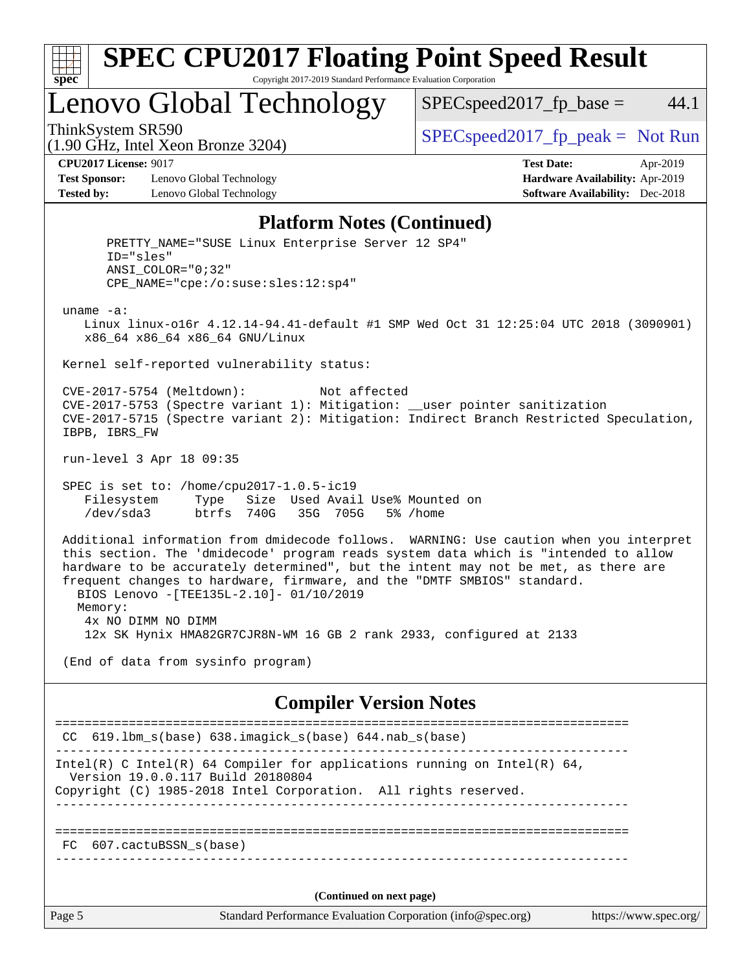

#### **[SPEC CPU2017 Floating Point Speed Result](http://www.spec.org/auto/cpu2017/Docs/result-fields.html#SPECCPU2017FloatingPointSpeedResult)** Copyright 2017-2019 Standard Performance Evaluation Corporation

Lenovo Global Technology

 $SPEC speed2017_fp\_base = 44.1$ 

(1.90 GHz, Intel Xeon Bronze 3204)

ThinkSystem SR590<br>  $(1.00 \text{ GHz. Intel Yes} \text{ Prenze } 3204)$   $SPEC speed2017\_fp\_peak = Not Run$ 

**[Test Sponsor:](http://www.spec.org/auto/cpu2017/Docs/result-fields.html#TestSponsor)** Lenovo Global Technology **[Hardware Availability:](http://www.spec.org/auto/cpu2017/Docs/result-fields.html#HardwareAvailability)** Apr-2019 **[Tested by:](http://www.spec.org/auto/cpu2017/Docs/result-fields.html#Testedby)** Lenovo Global Technology **[Software Availability:](http://www.spec.org/auto/cpu2017/Docs/result-fields.html#SoftwareAvailability)** Dec-2018

**[CPU2017 License:](http://www.spec.org/auto/cpu2017/Docs/result-fields.html#CPU2017License)** 9017 **[Test Date:](http://www.spec.org/auto/cpu2017/Docs/result-fields.html#TestDate)** Apr-2019

### **[Platform Notes \(Continued\)](http://www.spec.org/auto/cpu2017/Docs/result-fields.html#PlatformNotes)**

Page 5 Standard Performance Evaluation Corporation [\(info@spec.org\)](mailto:info@spec.org) <https://www.spec.org/> PRETTY\_NAME="SUSE Linux Enterprise Server 12 SP4" ID="sles" ANSI\_COLOR="0;32" CPE\_NAME="cpe:/o:suse:sles:12:sp4" uname -a: Linux linux-o16r 4.12.14-94.41-default #1 SMP Wed Oct 31 12:25:04 UTC 2018 (3090901) x86\_64 x86\_64 x86\_64 GNU/Linux Kernel self-reported vulnerability status: CVE-2017-5754 (Meltdown): Not affected CVE-2017-5753 (Spectre variant 1): Mitigation: \_\_user pointer sanitization CVE-2017-5715 (Spectre variant 2): Mitigation: Indirect Branch Restricted Speculation, IBPB, IBRS\_FW run-level 3 Apr 18 09:35 SPEC is set to: /home/cpu2017-1.0.5-ic19 Filesystem Type Size Used Avail Use% Mounted on /dev/sda3 btrfs 740G 35G 705G 5% /home Additional information from dmidecode follows. WARNING: Use caution when you interpret this section. The 'dmidecode' program reads system data which is "intended to allow hardware to be accurately determined", but the intent may not be met, as there are frequent changes to hardware, firmware, and the "DMTF SMBIOS" standard. BIOS Lenovo -[TEE135L-2.10]- 01/10/2019 Memory: 4x NO DIMM NO DIMM 12x SK Hynix HMA82GR7CJR8N-WM 16 GB 2 rank 2933, configured at 2133 (End of data from sysinfo program) **[Compiler Version Notes](http://www.spec.org/auto/cpu2017/Docs/result-fields.html#CompilerVersionNotes)** ============================================================================== CC 619.lbm\_s(base) 638.imagick\_s(base) 644.nab\_s(base) ------------------------------------------------------------------------------ Intel(R) C Intel(R) 64 Compiler for applications running on Intel(R)  $64$ , Version 19.0.0.117 Build 20180804 Copyright (C) 1985-2018 Intel Corporation. All rights reserved. ------------------------------------------------------------------------------ ============================================================================== FC 607.cactuBSSN\_s(base) ------------------------------------------------------------------------------ **(Continued on next page)**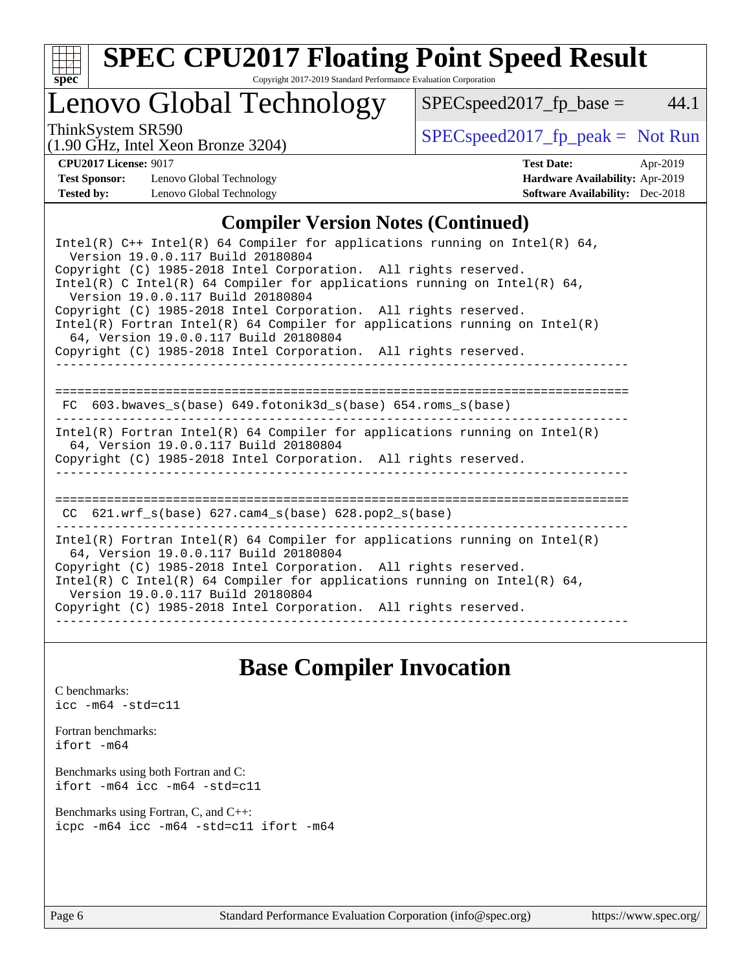

# **[SPEC CPU2017 Floating Point Speed Result](http://www.spec.org/auto/cpu2017/Docs/result-fields.html#SPECCPU2017FloatingPointSpeedResult)**

Copyright 2017-2019 Standard Performance Evaluation Corporation

### Lenovo Global Technology

ThinkSystem SR590<br>(1.00 GHz, Intel Year Bronze 3204) [SPECspeed2017\\_fp\\_peak =](http://www.spec.org/auto/cpu2017/Docs/result-fields.html#SPECspeed2017fppeak) Not Run

 $SPEC speed2017_fp\_base = 44.1$ 

#### (1.90 GHz, Intel Xeon Bronze 3204)

**[CPU2017 License:](http://www.spec.org/auto/cpu2017/Docs/result-fields.html#CPU2017License)** 9017 **[Test Date:](http://www.spec.org/auto/cpu2017/Docs/result-fields.html#TestDate)** Apr-2019 **[Test Sponsor:](http://www.spec.org/auto/cpu2017/Docs/result-fields.html#TestSponsor)** Lenovo Global Technology **[Hardware Availability:](http://www.spec.org/auto/cpu2017/Docs/result-fields.html#HardwareAvailability)** Apr-2019 **[Tested by:](http://www.spec.org/auto/cpu2017/Docs/result-fields.html#Testedby)** Lenovo Global Technology **[Software Availability:](http://www.spec.org/auto/cpu2017/Docs/result-fields.html#SoftwareAvailability)** Dec-2018

### **[Compiler Version Notes \(Continued\)](http://www.spec.org/auto/cpu2017/Docs/result-fields.html#CompilerVersionNotes)**

| Intel(R) $C++$ Intel(R) 64 Compiler for applications running on Intel(R) 64,<br>Version 19.0.0.117 Build 20180804                                                                                                                                   |  |  |  |  |  |  |
|-----------------------------------------------------------------------------------------------------------------------------------------------------------------------------------------------------------------------------------------------------|--|--|--|--|--|--|
| Copyright (C) 1985-2018 Intel Corporation. All rights reserved.<br>Intel(R) C Intel(R) 64 Compiler for applications running on Intel(R) 64,<br>Version 19.0.0.117 Build 20180804                                                                    |  |  |  |  |  |  |
| Copyright (C) 1985-2018 Intel Corporation. All rights reserved.<br>Intel(R) Fortran Intel(R) 64 Compiler for applications running on Intel(R)<br>64, Version 19.0.0.117 Build 20180804                                                              |  |  |  |  |  |  |
| Copyright (C) 1985-2018 Intel Corporation. All rights reserved.                                                                                                                                                                                     |  |  |  |  |  |  |
| FC 603.bwaves s(base) 649.fotonik3d s(base) 654.roms s(base)                                                                                                                                                                                        |  |  |  |  |  |  |
| $Intel(R)$ Fortran Intel(R) 64 Compiler for applications running on Intel(R)<br>64, Version 19.0.0.117 Build 20180804<br>Copyright (C) 1985-2018 Intel Corporation. All rights reserved.                                                            |  |  |  |  |  |  |
| CC $621.wrf s(base) 627.cam4 s(base) 628.pop2 s(base)$                                                                                                                                                                                              |  |  |  |  |  |  |
|                                                                                                                                                                                                                                                     |  |  |  |  |  |  |
| Intel(R) Fortran Intel(R) 64 Compiler for applications running on Intel(R)<br>64, Version 19.0.0.117 Build 20180804                                                                                                                                 |  |  |  |  |  |  |
| Copyright (C) 1985-2018 Intel Corporation. All rights reserved.<br>Intel(R) C Intel(R) 64 Compiler for applications running on Intel(R) 64,<br>Version 19.0.0.117 Build 20180804<br>Copyright (C) 1985-2018 Intel Corporation. All rights reserved. |  |  |  |  |  |  |
|                                                                                                                                                                                                                                                     |  |  |  |  |  |  |

### **[Base Compiler Invocation](http://www.spec.org/auto/cpu2017/Docs/result-fields.html#BaseCompilerInvocation)**

[C benchmarks](http://www.spec.org/auto/cpu2017/Docs/result-fields.html#Cbenchmarks): [icc -m64 -std=c11](http://www.spec.org/cpu2017/results/res2019q2/cpu2017-20190429-12851.flags.html#user_CCbase_intel_icc_64bit_c11_33ee0cdaae7deeeab2a9725423ba97205ce30f63b9926c2519791662299b76a0318f32ddfffdc46587804de3178b4f9328c46fa7c2b0cd779d7a61945c91cd35)

[Fortran benchmarks](http://www.spec.org/auto/cpu2017/Docs/result-fields.html#Fortranbenchmarks): [ifort -m64](http://www.spec.org/cpu2017/results/res2019q2/cpu2017-20190429-12851.flags.html#user_FCbase_intel_ifort_64bit_24f2bb282fbaeffd6157abe4f878425411749daecae9a33200eee2bee2fe76f3b89351d69a8130dd5949958ce389cf37ff59a95e7a40d588e8d3a57e0c3fd751)

[Benchmarks using both Fortran and C](http://www.spec.org/auto/cpu2017/Docs/result-fields.html#BenchmarksusingbothFortranandC): [ifort -m64](http://www.spec.org/cpu2017/results/res2019q2/cpu2017-20190429-12851.flags.html#user_CC_FCbase_intel_ifort_64bit_24f2bb282fbaeffd6157abe4f878425411749daecae9a33200eee2bee2fe76f3b89351d69a8130dd5949958ce389cf37ff59a95e7a40d588e8d3a57e0c3fd751) [icc -m64 -std=c11](http://www.spec.org/cpu2017/results/res2019q2/cpu2017-20190429-12851.flags.html#user_CC_FCbase_intel_icc_64bit_c11_33ee0cdaae7deeeab2a9725423ba97205ce30f63b9926c2519791662299b76a0318f32ddfffdc46587804de3178b4f9328c46fa7c2b0cd779d7a61945c91cd35)

[Benchmarks using Fortran, C, and C++:](http://www.spec.org/auto/cpu2017/Docs/result-fields.html#BenchmarksusingFortranCandCXX) [icpc -m64](http://www.spec.org/cpu2017/results/res2019q2/cpu2017-20190429-12851.flags.html#user_CC_CXX_FCbase_intel_icpc_64bit_4ecb2543ae3f1412ef961e0650ca070fec7b7afdcd6ed48761b84423119d1bf6bdf5cad15b44d48e7256388bc77273b966e5eb805aefd121eb22e9299b2ec9d9) [icc -m64 -std=c11](http://www.spec.org/cpu2017/results/res2019q2/cpu2017-20190429-12851.flags.html#user_CC_CXX_FCbase_intel_icc_64bit_c11_33ee0cdaae7deeeab2a9725423ba97205ce30f63b9926c2519791662299b76a0318f32ddfffdc46587804de3178b4f9328c46fa7c2b0cd779d7a61945c91cd35) [ifort -m64](http://www.spec.org/cpu2017/results/res2019q2/cpu2017-20190429-12851.flags.html#user_CC_CXX_FCbase_intel_ifort_64bit_24f2bb282fbaeffd6157abe4f878425411749daecae9a33200eee2bee2fe76f3b89351d69a8130dd5949958ce389cf37ff59a95e7a40d588e8d3a57e0c3fd751)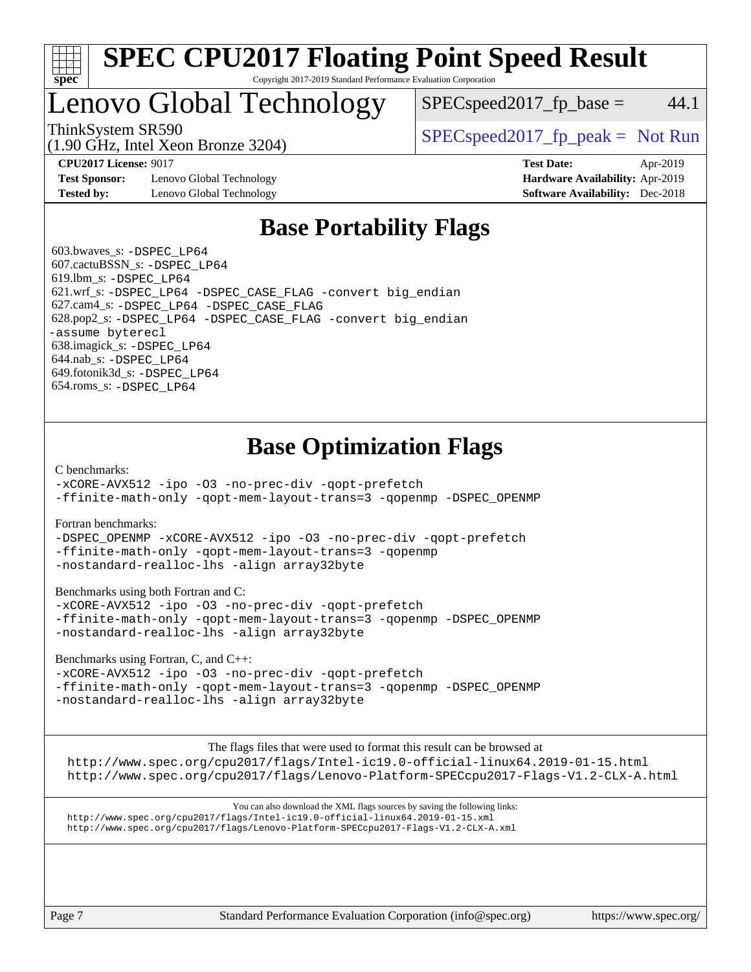

### **[SPEC CPU2017 Floating Point Speed Result](http://www.spec.org/auto/cpu2017/Docs/result-fields.html#SPECCPU2017FloatingPointSpeedResult)** Copyright 2017-2019 Standard Performance Evaluation Corporation

### Lenovo Global Technology

(1.90 GHz, Intel Xeon Bronze 3204)

ThinkSystem SR590<br>  $(1.00 \text{ GHz. Intel Yes on Prans 3204})$   $SPEC speed2017<sub>rfp</sub> peak = Not Run$ 

 $SPEC speed2017<sub>fp</sub> base = 44.1$ 

**[Test Sponsor:](http://www.spec.org/auto/cpu2017/Docs/result-fields.html#TestSponsor)** Lenovo Global Technology **[Hardware Availability:](http://www.spec.org/auto/cpu2017/Docs/result-fields.html#HardwareAvailability)** Apr-2019 **[Tested by:](http://www.spec.org/auto/cpu2017/Docs/result-fields.html#Testedby)** Lenovo Global Technology **[Software Availability:](http://www.spec.org/auto/cpu2017/Docs/result-fields.html#SoftwareAvailability)** Dec-2018

**[CPU2017 License:](http://www.spec.org/auto/cpu2017/Docs/result-fields.html#CPU2017License)** 9017 **[Test Date:](http://www.spec.org/auto/cpu2017/Docs/result-fields.html#TestDate)** Apr-2019

### **[Base Portability Flags](http://www.spec.org/auto/cpu2017/Docs/result-fields.html#BasePortabilityFlags)**

 603.bwaves\_s: [-DSPEC\\_LP64](http://www.spec.org/cpu2017/results/res2019q2/cpu2017-20190429-12851.flags.html#suite_basePORTABILITY603_bwaves_s_DSPEC_LP64) 607.cactuBSSN\_s: [-DSPEC\\_LP64](http://www.spec.org/cpu2017/results/res2019q2/cpu2017-20190429-12851.flags.html#suite_basePORTABILITY607_cactuBSSN_s_DSPEC_LP64) 619.lbm\_s: [-DSPEC\\_LP64](http://www.spec.org/cpu2017/results/res2019q2/cpu2017-20190429-12851.flags.html#suite_basePORTABILITY619_lbm_s_DSPEC_LP64) 621.wrf\_s: [-DSPEC\\_LP64](http://www.spec.org/cpu2017/results/res2019q2/cpu2017-20190429-12851.flags.html#suite_basePORTABILITY621_wrf_s_DSPEC_LP64) [-DSPEC\\_CASE\\_FLAG](http://www.spec.org/cpu2017/results/res2019q2/cpu2017-20190429-12851.flags.html#b621.wrf_s_baseCPORTABILITY_DSPEC_CASE_FLAG) [-convert big\\_endian](http://www.spec.org/cpu2017/results/res2019q2/cpu2017-20190429-12851.flags.html#user_baseFPORTABILITY621_wrf_s_convert_big_endian_c3194028bc08c63ac5d04de18c48ce6d347e4e562e8892b8bdbdc0214820426deb8554edfa529a3fb25a586e65a3d812c835984020483e7e73212c4d31a38223) 627.cam4\_s: [-DSPEC\\_LP64](http://www.spec.org/cpu2017/results/res2019q2/cpu2017-20190429-12851.flags.html#suite_basePORTABILITY627_cam4_s_DSPEC_LP64) [-DSPEC\\_CASE\\_FLAG](http://www.spec.org/cpu2017/results/res2019q2/cpu2017-20190429-12851.flags.html#b627.cam4_s_baseCPORTABILITY_DSPEC_CASE_FLAG) 628.pop2\_s: [-DSPEC\\_LP64](http://www.spec.org/cpu2017/results/res2019q2/cpu2017-20190429-12851.flags.html#suite_basePORTABILITY628_pop2_s_DSPEC_LP64) [-DSPEC\\_CASE\\_FLAG](http://www.spec.org/cpu2017/results/res2019q2/cpu2017-20190429-12851.flags.html#b628.pop2_s_baseCPORTABILITY_DSPEC_CASE_FLAG) [-convert big\\_endian](http://www.spec.org/cpu2017/results/res2019q2/cpu2017-20190429-12851.flags.html#user_baseFPORTABILITY628_pop2_s_convert_big_endian_c3194028bc08c63ac5d04de18c48ce6d347e4e562e8892b8bdbdc0214820426deb8554edfa529a3fb25a586e65a3d812c835984020483e7e73212c4d31a38223) [-assume byterecl](http://www.spec.org/cpu2017/results/res2019q2/cpu2017-20190429-12851.flags.html#user_baseFPORTABILITY628_pop2_s_assume_byterecl_7e47d18b9513cf18525430bbf0f2177aa9bf368bc7a059c09b2c06a34b53bd3447c950d3f8d6c70e3faf3a05c8557d66a5798b567902e8849adc142926523472) 638.imagick\_s: [-DSPEC\\_LP64](http://www.spec.org/cpu2017/results/res2019q2/cpu2017-20190429-12851.flags.html#suite_basePORTABILITY638_imagick_s_DSPEC_LP64) 644.nab\_s: [-DSPEC\\_LP64](http://www.spec.org/cpu2017/results/res2019q2/cpu2017-20190429-12851.flags.html#suite_basePORTABILITY644_nab_s_DSPEC_LP64) 649.fotonik3d\_s: [-DSPEC\\_LP64](http://www.spec.org/cpu2017/results/res2019q2/cpu2017-20190429-12851.flags.html#suite_basePORTABILITY649_fotonik3d_s_DSPEC_LP64) 654.roms\_s: [-DSPEC\\_LP64](http://www.spec.org/cpu2017/results/res2019q2/cpu2017-20190429-12851.flags.html#suite_basePORTABILITY654_roms_s_DSPEC_LP64)

### **[Base Optimization Flags](http://www.spec.org/auto/cpu2017/Docs/result-fields.html#BaseOptimizationFlags)**

[C benchmarks](http://www.spec.org/auto/cpu2017/Docs/result-fields.html#Cbenchmarks):

[-xCORE-AVX512](http://www.spec.org/cpu2017/results/res2019q2/cpu2017-20190429-12851.flags.html#user_CCbase_f-xCORE-AVX512) [-ipo](http://www.spec.org/cpu2017/results/res2019q2/cpu2017-20190429-12851.flags.html#user_CCbase_f-ipo) [-O3](http://www.spec.org/cpu2017/results/res2019q2/cpu2017-20190429-12851.flags.html#user_CCbase_f-O3) [-no-prec-div](http://www.spec.org/cpu2017/results/res2019q2/cpu2017-20190429-12851.flags.html#user_CCbase_f-no-prec-div) [-qopt-prefetch](http://www.spec.org/cpu2017/results/res2019q2/cpu2017-20190429-12851.flags.html#user_CCbase_f-qopt-prefetch) [-ffinite-math-only](http://www.spec.org/cpu2017/results/res2019q2/cpu2017-20190429-12851.flags.html#user_CCbase_f_finite_math_only_cb91587bd2077682c4b38af759c288ed7c732db004271a9512da14a4f8007909a5f1427ecbf1a0fb78ff2a814402c6114ac565ca162485bbcae155b5e4258871) [-qopt-mem-layout-trans=3](http://www.spec.org/cpu2017/results/res2019q2/cpu2017-20190429-12851.flags.html#user_CCbase_f-qopt-mem-layout-trans_de80db37974c74b1f0e20d883f0b675c88c3b01e9d123adea9b28688d64333345fb62bc4a798493513fdb68f60282f9a726aa07f478b2f7113531aecce732043) [-qopenmp](http://www.spec.org/cpu2017/results/res2019q2/cpu2017-20190429-12851.flags.html#user_CCbase_qopenmp_16be0c44f24f464004c6784a7acb94aca937f053568ce72f94b139a11c7c168634a55f6653758ddd83bcf7b8463e8028bb0b48b77bcddc6b78d5d95bb1df2967) [-DSPEC\\_OPENMP](http://www.spec.org/cpu2017/results/res2019q2/cpu2017-20190429-12851.flags.html#suite_CCbase_DSPEC_OPENMP)

[Fortran benchmarks](http://www.spec.org/auto/cpu2017/Docs/result-fields.html#Fortranbenchmarks):

[-DSPEC\\_OPENMP](http://www.spec.org/cpu2017/results/res2019q2/cpu2017-20190429-12851.flags.html#suite_FCbase_DSPEC_OPENMP) [-xCORE-AVX512](http://www.spec.org/cpu2017/results/res2019q2/cpu2017-20190429-12851.flags.html#user_FCbase_f-xCORE-AVX512) [-ipo](http://www.spec.org/cpu2017/results/res2019q2/cpu2017-20190429-12851.flags.html#user_FCbase_f-ipo) [-O3](http://www.spec.org/cpu2017/results/res2019q2/cpu2017-20190429-12851.flags.html#user_FCbase_f-O3) [-no-prec-div](http://www.spec.org/cpu2017/results/res2019q2/cpu2017-20190429-12851.flags.html#user_FCbase_f-no-prec-div) [-qopt-prefetch](http://www.spec.org/cpu2017/results/res2019q2/cpu2017-20190429-12851.flags.html#user_FCbase_f-qopt-prefetch) [-ffinite-math-only](http://www.spec.org/cpu2017/results/res2019q2/cpu2017-20190429-12851.flags.html#user_FCbase_f_finite_math_only_cb91587bd2077682c4b38af759c288ed7c732db004271a9512da14a4f8007909a5f1427ecbf1a0fb78ff2a814402c6114ac565ca162485bbcae155b5e4258871) [-qopt-mem-layout-trans=3](http://www.spec.org/cpu2017/results/res2019q2/cpu2017-20190429-12851.flags.html#user_FCbase_f-qopt-mem-layout-trans_de80db37974c74b1f0e20d883f0b675c88c3b01e9d123adea9b28688d64333345fb62bc4a798493513fdb68f60282f9a726aa07f478b2f7113531aecce732043) [-qopenmp](http://www.spec.org/cpu2017/results/res2019q2/cpu2017-20190429-12851.flags.html#user_FCbase_qopenmp_16be0c44f24f464004c6784a7acb94aca937f053568ce72f94b139a11c7c168634a55f6653758ddd83bcf7b8463e8028bb0b48b77bcddc6b78d5d95bb1df2967) [-nostandard-realloc-lhs](http://www.spec.org/cpu2017/results/res2019q2/cpu2017-20190429-12851.flags.html#user_FCbase_f_2003_std_realloc_82b4557e90729c0f113870c07e44d33d6f5a304b4f63d4c15d2d0f1fab99f5daaed73bdb9275d9ae411527f28b936061aa8b9c8f2d63842963b95c9dd6426b8a) [-align array32byte](http://www.spec.org/cpu2017/results/res2019q2/cpu2017-20190429-12851.flags.html#user_FCbase_align_array32byte_b982fe038af199962ba9a80c053b8342c548c85b40b8e86eb3cc33dee0d7986a4af373ac2d51c3f7cf710a18d62fdce2948f201cd044323541f22fc0fffc51b6)

[Benchmarks using both Fortran and C](http://www.spec.org/auto/cpu2017/Docs/result-fields.html#BenchmarksusingbothFortranandC):

[-xCORE-AVX512](http://www.spec.org/cpu2017/results/res2019q2/cpu2017-20190429-12851.flags.html#user_CC_FCbase_f-xCORE-AVX512) [-ipo](http://www.spec.org/cpu2017/results/res2019q2/cpu2017-20190429-12851.flags.html#user_CC_FCbase_f-ipo) [-O3](http://www.spec.org/cpu2017/results/res2019q2/cpu2017-20190429-12851.flags.html#user_CC_FCbase_f-O3) [-no-prec-div](http://www.spec.org/cpu2017/results/res2019q2/cpu2017-20190429-12851.flags.html#user_CC_FCbase_f-no-prec-div) [-qopt-prefetch](http://www.spec.org/cpu2017/results/res2019q2/cpu2017-20190429-12851.flags.html#user_CC_FCbase_f-qopt-prefetch) [-ffinite-math-only](http://www.spec.org/cpu2017/results/res2019q2/cpu2017-20190429-12851.flags.html#user_CC_FCbase_f_finite_math_only_cb91587bd2077682c4b38af759c288ed7c732db004271a9512da14a4f8007909a5f1427ecbf1a0fb78ff2a814402c6114ac565ca162485bbcae155b5e4258871) [-qopt-mem-layout-trans=3](http://www.spec.org/cpu2017/results/res2019q2/cpu2017-20190429-12851.flags.html#user_CC_FCbase_f-qopt-mem-layout-trans_de80db37974c74b1f0e20d883f0b675c88c3b01e9d123adea9b28688d64333345fb62bc4a798493513fdb68f60282f9a726aa07f478b2f7113531aecce732043) [-qopenmp](http://www.spec.org/cpu2017/results/res2019q2/cpu2017-20190429-12851.flags.html#user_CC_FCbase_qopenmp_16be0c44f24f464004c6784a7acb94aca937f053568ce72f94b139a11c7c168634a55f6653758ddd83bcf7b8463e8028bb0b48b77bcddc6b78d5d95bb1df2967) [-DSPEC\\_OPENMP](http://www.spec.org/cpu2017/results/res2019q2/cpu2017-20190429-12851.flags.html#suite_CC_FCbase_DSPEC_OPENMP) [-nostandard-realloc-lhs](http://www.spec.org/cpu2017/results/res2019q2/cpu2017-20190429-12851.flags.html#user_CC_FCbase_f_2003_std_realloc_82b4557e90729c0f113870c07e44d33d6f5a304b4f63d4c15d2d0f1fab99f5daaed73bdb9275d9ae411527f28b936061aa8b9c8f2d63842963b95c9dd6426b8a) [-align array32byte](http://www.spec.org/cpu2017/results/res2019q2/cpu2017-20190429-12851.flags.html#user_CC_FCbase_align_array32byte_b982fe038af199962ba9a80c053b8342c548c85b40b8e86eb3cc33dee0d7986a4af373ac2d51c3f7cf710a18d62fdce2948f201cd044323541f22fc0fffc51b6)

[Benchmarks using Fortran, C, and C++:](http://www.spec.org/auto/cpu2017/Docs/result-fields.html#BenchmarksusingFortranCandCXX)

[-xCORE-AVX512](http://www.spec.org/cpu2017/results/res2019q2/cpu2017-20190429-12851.flags.html#user_CC_CXX_FCbase_f-xCORE-AVX512) [-ipo](http://www.spec.org/cpu2017/results/res2019q2/cpu2017-20190429-12851.flags.html#user_CC_CXX_FCbase_f-ipo) [-O3](http://www.spec.org/cpu2017/results/res2019q2/cpu2017-20190429-12851.flags.html#user_CC_CXX_FCbase_f-O3) [-no-prec-div](http://www.spec.org/cpu2017/results/res2019q2/cpu2017-20190429-12851.flags.html#user_CC_CXX_FCbase_f-no-prec-div) [-qopt-prefetch](http://www.spec.org/cpu2017/results/res2019q2/cpu2017-20190429-12851.flags.html#user_CC_CXX_FCbase_f-qopt-prefetch) [-ffinite-math-only](http://www.spec.org/cpu2017/results/res2019q2/cpu2017-20190429-12851.flags.html#user_CC_CXX_FCbase_f_finite_math_only_cb91587bd2077682c4b38af759c288ed7c732db004271a9512da14a4f8007909a5f1427ecbf1a0fb78ff2a814402c6114ac565ca162485bbcae155b5e4258871) [-qopt-mem-layout-trans=3](http://www.spec.org/cpu2017/results/res2019q2/cpu2017-20190429-12851.flags.html#user_CC_CXX_FCbase_f-qopt-mem-layout-trans_de80db37974c74b1f0e20d883f0b675c88c3b01e9d123adea9b28688d64333345fb62bc4a798493513fdb68f60282f9a726aa07f478b2f7113531aecce732043) [-qopenmp](http://www.spec.org/cpu2017/results/res2019q2/cpu2017-20190429-12851.flags.html#user_CC_CXX_FCbase_qopenmp_16be0c44f24f464004c6784a7acb94aca937f053568ce72f94b139a11c7c168634a55f6653758ddd83bcf7b8463e8028bb0b48b77bcddc6b78d5d95bb1df2967) [-DSPEC\\_OPENMP](http://www.spec.org/cpu2017/results/res2019q2/cpu2017-20190429-12851.flags.html#suite_CC_CXX_FCbase_DSPEC_OPENMP) [-nostandard-realloc-lhs](http://www.spec.org/cpu2017/results/res2019q2/cpu2017-20190429-12851.flags.html#user_CC_CXX_FCbase_f_2003_std_realloc_82b4557e90729c0f113870c07e44d33d6f5a304b4f63d4c15d2d0f1fab99f5daaed73bdb9275d9ae411527f28b936061aa8b9c8f2d63842963b95c9dd6426b8a) [-align array32byte](http://www.spec.org/cpu2017/results/res2019q2/cpu2017-20190429-12851.flags.html#user_CC_CXX_FCbase_align_array32byte_b982fe038af199962ba9a80c053b8342c548c85b40b8e86eb3cc33dee0d7986a4af373ac2d51c3f7cf710a18d62fdce2948f201cd044323541f22fc0fffc51b6)

The flags files that were used to format this result can be browsed at

<http://www.spec.org/cpu2017/flags/Intel-ic19.0-official-linux64.2019-01-15.html> <http://www.spec.org/cpu2017/flags/Lenovo-Platform-SPECcpu2017-Flags-V1.2-CLX-A.html>

You can also download the XML flags sources by saving the following links: <http://www.spec.org/cpu2017/flags/Intel-ic19.0-official-linux64.2019-01-15.xml> <http://www.spec.org/cpu2017/flags/Lenovo-Platform-SPECcpu2017-Flags-V1.2-CLX-A.xml>